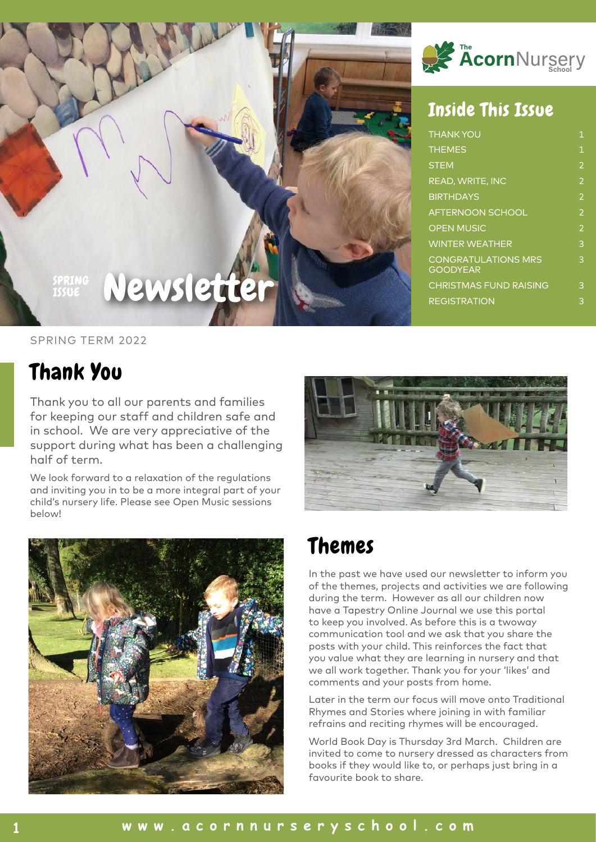

#### Inside This Issue

| <b>THANK YOU</b>                              | $\overline{1}$ |
|-----------------------------------------------|----------------|
| <b>THEMES</b>                                 | 1              |
| <b>STEM</b>                                   | $\overline{2}$ |
| <b>READ, WRITE, INC</b>                       | $\overline{2}$ |
| <b>BIRTHDAYS</b>                              | $\overline{2}$ |
| <b>AFTERNOON SCHOOL</b>                       | $\overline{2}$ |
| <b>OPEN MUSIC</b>                             | $\overline{2}$ |
| <b>WINTER WEATHER</b>                         | 3              |
| <b>CONGRATULATIONS MRS</b><br><b>GOODYEAR</b> | 3              |
| <b>CHRISTMAS FUND RAISING</b>                 | 3              |
| <b>REGISTRATION</b>                           | 3              |

#### SPRING TERM 2022

ISSUE

#### Thank You

Thank you to all our parents and families for keeping our staff and children safe and in school. We are very appreciative of the support during what has been a challenging half of term.

Newslette

We look forward to a relaxation of the regulations and inviting you in to be a more integral part of your child's nursery life. Please see Open Music sessions below!





#### Themes

In the past we have used our newsletter to inform you of the themes, projects and activities we are following during the term. However as all our children now have a Tapestry Online Journal we use this portal to keep you involved. As before this is a twoway communication tool and we ask that you share the posts with your child. This reinforces the fact that you value what they are learning in nursery and that we all work together. Thank you for your 'likes' and comments and your posts from home.

Later in the term our focus will move onto Traditional Rhymes and Stories where joining in with familiar refrains and reciting rhymes will be encouraged.

World Book Day is Thursday 3rd March. Children are invited to come to nursery dressed as characters from books if they would like to, or perhaps just bring in a favourite book to share.

#### **1 www.acornnurseryschool.com**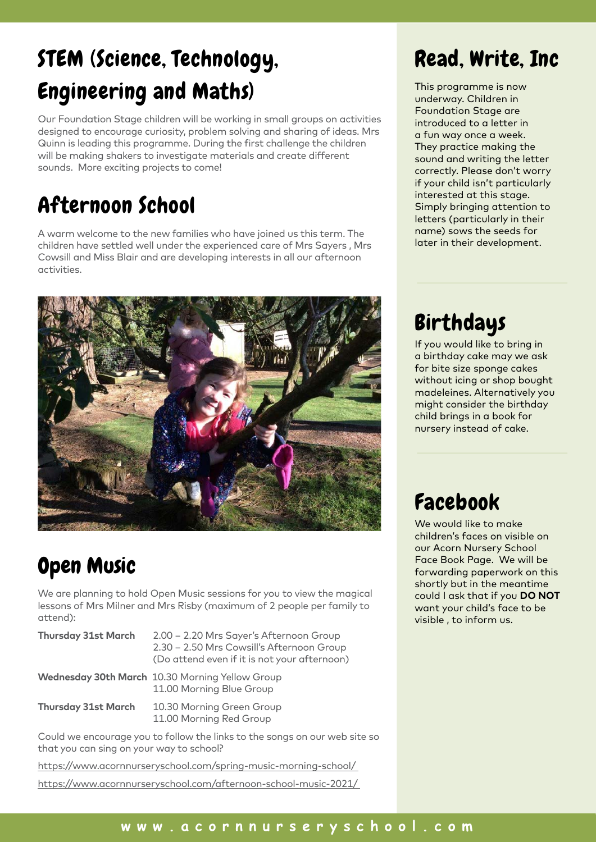# STEM (Science, Technology, Engineering and Maths)

Our Foundation Stage children will be working in small groups on activities designed to encourage curiosity, problem solving and sharing of ideas. Mrs Quinn is leading this programme. During the first challenge the children will be making shakers to investigate materials and create different sounds. More exciting projects to come!

### Afternoon School

A warm welcome to the new families who have joined us this term. The children have settled well under the experienced care of Mrs Sayers , Mrs Cowsill and Miss Blair and are developing interests in all our afternoon activities.



### Open Music

We are planning to hold Open Music sessions for you to view the magical lessons of Mrs Milner and Mrs Risby (maximum of 2 people per family to attend):

| <b>Thursday 31st March</b> | 2.00 - 2.20 Mrs Sayer's Afternoon Group<br>2.30 - 2.50 Mrs Cowsill's Afternoon Group<br>(Do attend even if it is not your afternoon) |
|----------------------------|--------------------------------------------------------------------------------------------------------------------------------------|
|                            | Wednesday 30th March 10.30 Morning Yellow Group<br>11.00 Morning Blue Group                                                          |
| <b>Thursday 31st March</b> | 10.30 Morning Green Group<br>11.00 Morning Red Group                                                                                 |

Could we encourage you to follow the links to the songs on our web site so that you can sing on your way to school?

https://www.acornnurseryschool.com/spring-music-morning-school/

https://www.acornnurseryschool.com/afternoon-school-music-2021/

### Read, Write, Inc

This programme is now underway. Children in Foundation Stage are introduced to a letter in a fun way once a week. They practice making the sound and writing the letter correctly. Please don't worry if your child isn't particularly interested at this stage. Simply bringing attention to letters (particularly in their name) sows the seeds for later in their development.

## Birthdays

If you would like to bring in a birthday cake may we ask for bite size sponge cakes without icing or shop bought madeleines. Alternatively you might consider the birthday child brings in a book for nursery instead of cake.

### Facebook

We would like to make children's faces on visible on our Acorn Nursery School Face Book Page. We will be forwarding paperwork on this shortly but in the meantime could I ask that if you **DO NOT**  want your child's face to be visible , to inform us.

#### **2 www.acornnurseryschool.com www.acornnurseryschool.com**